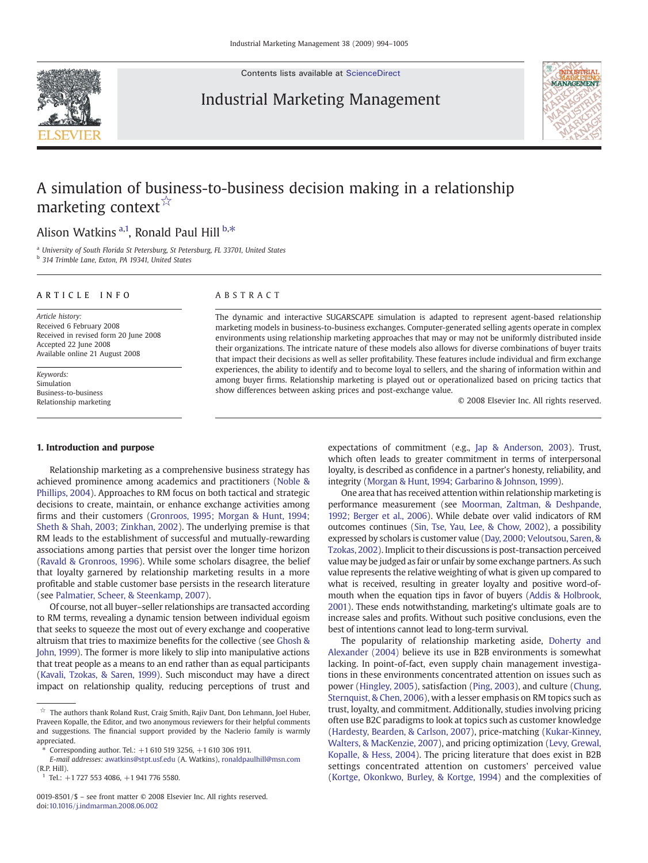Contents lists available at [ScienceDirect](http://www.sciencedirect.com/science/journal/00198501)

### Industrial Marketing Management



## A simulation of business-to-business decision making in a relationship marketing context<sup>☆</sup>

### Alison Watkins <sup>a,1</sup>, Ronald Paul Hill <sup>b,\*</sup>

<sup>a</sup> University of South Florida St Petersburg, St Petersburg, FL 33701, United States

<sup>b</sup> 314 Trimble Lane, Exton, PA 19341, United States

#### ARTICLE INFO ABSTRACT

Article history: Received 6 February 2008 Received in revised form 20 June 2008 Accepted 22 June 2008 Available online 21 August 2008

Keywords: Simulation Business-to-business Relationship marketing

#### 1. Introduction and purpose

Relationship marketing as a comprehensive business strategy has achieved prominence among academics and practitioners ([Noble &](#page--1-0) [Phillips, 2004\)](#page--1-0). Approaches to RM focus on both tactical and strategic decisions to create, maintain, or enhance exchange activities among firms and their customers [\(Gronroos, 1995; Morgan & Hunt, 1994;](#page--1-0) [Sheth & Shah, 2003; Zinkhan, 2002\)](#page--1-0). The underlying premise is that RM leads to the establishment of successful and mutually-rewarding associations among parties that persist over the longer time horizon [\(Ravald & Gronroos, 1996\)](#page--1-0). While some scholars disagree, the belief that loyalty garnered by relationship marketing results in a more profitable and stable customer base persists in the research literature (see [Palmatier, Scheer, & Steenkamp, 2007\)](#page--1-0).

Of course, not all buyer–seller relationships are transacted according to RM terms, revealing a dynamic tension between individual egoism that seeks to squeeze the most out of every exchange and cooperative altruism that tries to maximize benefits for the collective (see [Ghosh &](#page--1-0) [John, 1999\)](#page--1-0). The former is more likely to slip into manipulative actions that treat people as a means to an end rather than as equal participants [\(Kavali, Tzokas, & Saren, 1999\)](#page--1-0). Such misconduct may have a direct impact on relationship quality, reducing perceptions of trust and

The dynamic and interactive SUGARSCAPE simulation is adapted to represent agent-based relationship marketing models in business-to-business exchanges. Computer-generated selling agents operate in complex environments using relationship marketing approaches that may or may not be uniformly distributed inside their organizations. The intricate nature of these models also allows for diverse combinations of buyer traits that impact their decisions as well as seller profitability. These features include individual and firm exchange experiences, the ability to identify and to become loyal to sellers, and the sharing of information within and among buyer firms. Relationship marketing is played out or operationalized based on pricing tactics that show differences between asking prices and post-exchange value.

© 2008 Elsevier Inc. All rights reserved.

expectations of commitment (e.g., [Jap & Anderson, 2003\)](#page--1-0). Trust, which often leads to greater commitment in terms of interpersonal loyalty, is described as confidence in a partner's honesty, reliability, and integrity ([Morgan & Hunt, 1994; Garbarino & Johnson, 1999\)](#page--1-0).

One area that has received attention within relationship marketing is performance measurement (see [Moorman, Zaltman, & Deshpande,](#page--1-0) [1992; Berger et al., 2006\)](#page--1-0). While debate over valid indicators of RM outcomes continues [\(Sin, Tse, Yau, Lee, & Chow, 2002\)](#page--1-0), a possibility expressed by scholars is customer value ([Day, 2000; Veloutsou, Saren, &](#page--1-0) [Tzokas, 2002](#page--1-0)). Implicit to their discussions is post-transaction perceived value may be judged as fair or unfair by some exchange partners. As such value represents the relative weighting of what is given up compared to what is received, resulting in greater loyalty and positive word-ofmouth when the equation tips in favor of buyers ([Addis & Holbrook,](#page--1-0) [2001\)](#page--1-0). These ends notwithstanding, marketing's ultimate goals are to increase sales and profits. Without such positive conclusions, even the best of intentions cannot lead to long-term survival.

The popularity of relationship marketing aside, [Doherty and](#page--1-0) [Alexander \(2004\)](#page--1-0) believe its use in B2B environments is somewhat lacking. In point-of-fact, even supply chain management investigations in these environments concentrated attention on issues such as power ([Hingley, 2005\)](#page--1-0), satisfaction ([Ping, 2003](#page--1-0)), and culture ([Chung,](#page--1-0) [Sternquist, & Chen, 2006\)](#page--1-0), with a lesser emphasis on RM topics such as trust, loyalty, and commitment. Additionally, studies involving pricing often use B2C paradigms to look at topics such as customer knowledge [\(Hardesty, Bearden, & Carlson, 2007\)](#page--1-0), price-matching ([Kukar-Kinney,](#page--1-0) [Walters, & MacKenzie, 2007\)](#page--1-0), and pricing optimization [\(Levy, Grewal,](#page--1-0) [Kopalle, & Hess, 2004](#page--1-0)). The pricing literature that does exist in B2B settings concentrated attention on customers' perceived value [\(Kortge, Okonkwo, Burley, & Kortge, 1994](#page--1-0)) and the complexities of



 $\overleftrightarrow{\mathbf{x}}$  The authors thank Roland Rust, Craig Smith, Rajiv Dant, Don Lehmann, Joel Huber, Praveen Kopalle, the Editor, and two anonymous reviewers for their helpful comments and suggestions. The financial support provided by the Naclerio family is warmly appreciated.

<sup>⁎</sup> Corresponding author. Tel.: +1 610 519 3256, +1 610 306 1911.

E-mail addresses: [awatkins@stpt.usf.edu](mailto:awatkins@stpt.usf.edu) (A. Watkins), [ronaldpaulhill@msn.com](mailto:ronaldpaulhill@msn.com) (R.P. Hill).

<sup>1</sup> Tel.: +1 727 553 4086, +1 941 776 5580.

<sup>0019-8501/\$</sup> – see front matter © 2008 Elsevier Inc. All rights reserved. doi[:10.1016/j.indmarman.2008.06.002](http://dx.doi.org/10.1016/j.indmarman.2008.06.002)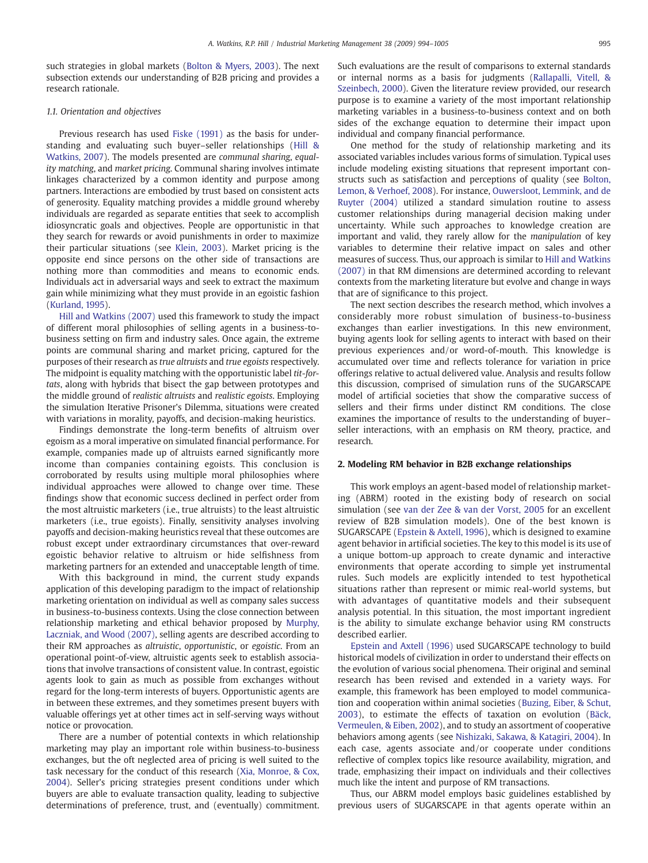such strategies in global markets ([Bolton & Myers, 2003\)](#page--1-0). The next subsection extends our understanding of B2B pricing and provides a research rationale.

#### 1.1. Orientation and objectives

Previous research has used [Fiske \(1991\)](#page--1-0) as the basis for understanding and evaluating such buyer–seller relationships ([Hill &](#page--1-0) [Watkins, 2007](#page--1-0)). The models presented are communal sharing, equality matching, and market pricing. Communal sharing involves intimate linkages characterized by a common identity and purpose among partners. Interactions are embodied by trust based on consistent acts of generosity. Equality matching provides a middle ground whereby individuals are regarded as separate entities that seek to accomplish idiosyncratic goals and objectives. People are opportunistic in that they search for rewards or avoid punishments in order to maximize their particular situations (see [Klein, 2003\)](#page--1-0). Market pricing is the opposite end since persons on the other side of transactions are nothing more than commodities and means to economic ends. Individuals act in adversarial ways and seek to extract the maximum gain while minimizing what they must provide in an egoistic fashion [\(Kurland, 1995](#page--1-0)).

[Hill and Watkins \(2007\)](#page--1-0) used this framework to study the impact of different moral philosophies of selling agents in a business-tobusiness setting on firm and industry sales. Once again, the extreme points are communal sharing and market pricing, captured for the purposes of their research as true altruists and true egoists respectively. The midpoint is equality matching with the opportunistic label tit-fortats, along with hybrids that bisect the gap between prototypes and the middle ground of realistic altruists and realistic egoists. Employing the simulation Iterative Prisoner's Dilemma, situations were created with variations in morality, payoffs, and decision-making heuristics.

Findings demonstrate the long-term benefits of altruism over egoism as a moral imperative on simulated financial performance. For example, companies made up of altruists earned significantly more income than companies containing egoists. This conclusion is corroborated by results using multiple moral philosophies where individual approaches were allowed to change over time. These findings show that economic success declined in perfect order from the most altruistic marketers (i.e., true altruists) to the least altruistic marketers (i.e., true egoists). Finally, sensitivity analyses involving payoffs and decision-making heuristics reveal that these outcomes are robust except under extraordinary circumstances that over-reward egoistic behavior relative to altruism or hide selfishness from marketing partners for an extended and unacceptable length of time.

With this background in mind, the current study expands application of this developing paradigm to the impact of relationship marketing orientation on individual as well as company sales success in business-to-business contexts. Using the close connection between relationship marketing and ethical behavior proposed by [Murphy,](#page--1-0) [Laczniak, and Wood \(2007\),](#page--1-0) selling agents are described according to their RM approaches as altruistic, opportunistic, or egoistic. From an operational point-of-view, altruistic agents seek to establish associations that involve transactions of consistent value. In contrast, egoistic agents look to gain as much as possible from exchanges without regard for the long-term interests of buyers. Opportunistic agents are in between these extremes, and they sometimes present buyers with valuable offerings yet at other times act in self-serving ways without notice or provocation.

There are a number of potential contexts in which relationship marketing may play an important role within business-to-business exchanges, but the oft neglected area of pricing is well suited to the task necessary for the conduct of this research ([Xia, Monroe, & Cox,](#page--1-0) [2004](#page--1-0)). Seller's pricing strategies present conditions under which buyers are able to evaluate transaction quality, leading to subjective determinations of preference, trust, and (eventually) commitment. Such evaluations are the result of comparisons to external standards or internal norms as a basis for judgments [\(Rallapalli, Vitell, &](#page--1-0) [Szeinbech, 2000](#page--1-0)). Given the literature review provided, our research purpose is to examine a variety of the most important relationship marketing variables in a business-to-business context and on both sides of the exchange equation to determine their impact upon individual and company financial performance.

One method for the study of relationship marketing and its associated variables includes various forms of simulation. Typical uses include modeling existing situations that represent important constructs such as satisfaction and perceptions of quality (see [Bolton,](#page--1-0) [Lemon, & Verhoef, 2008\)](#page--1-0). For instance, [Ouwersloot, Lemmink, and de](#page--1-0) [Ruyter \(2004\)](#page--1-0) utilized a standard simulation routine to assess customer relationships during managerial decision making under uncertainty. While such approaches to knowledge creation are important and valid, they rarely allow for the manipulation of key variables to determine their relative impact on sales and other measures of success. Thus, our approach is similar to [Hill and Watkins](#page--1-0) [\(2007\)](#page--1-0) in that RM dimensions are determined according to relevant contexts from the marketing literature but evolve and change in ways that are of significance to this project.

The next section describes the research method, which involves a considerably more robust simulation of business-to-business exchanges than earlier investigations. In this new environment, buying agents look for selling agents to interact with based on their previous experiences and/or word-of-mouth. This knowledge is accumulated over time and reflects tolerance for variation in price offerings relative to actual delivered value. Analysis and results follow this discussion, comprised of simulation runs of the SUGARSCAPE model of artificial societies that show the comparative success of sellers and their firms under distinct RM conditions. The close examines the importance of results to the understanding of buyer– seller interactions, with an emphasis on RM theory, practice, and research.

### 2. Modeling RM behavior in B2B exchange relationships

This work employs an agent-based model of relationship marketing (ABRM) rooted in the existing body of research on social simulation (see [van der Zee & van der Vorst, 2005](#page--1-0) for an excellent review of B2B simulation models). One of the best known is SUGARSCAPE [\(Epstein & Axtell, 1996](#page--1-0)), which is designed to examine agent behavior in artificial societies. The key to this model is its use of a unique bottom-up approach to create dynamic and interactive environments that operate according to simple yet instrumental rules. Such models are explicitly intended to test hypothetical situations rather than represent or mimic real-world systems, but with advantages of quantitative models and their subsequent analysis potential. In this situation, the most important ingredient is the ability to simulate exchange behavior using RM constructs described earlier.

[Epstein and Axtell \(1996\)](#page--1-0) used SUGARSCAPE technology to build historical models of civilization in order to understand their effects on the evolution of various social phenomena. Their original and seminal research has been revised and extended in a variety ways. For example, this framework has been employed to model communication and cooperation within animal societies ([Buzing, Eiber, & Schut,](#page--1-0) [2003](#page--1-0)), to estimate the effects of taxation on evolution [\(Bäck,](#page--1-0) [Vermeulen, & Eiben, 2002\)](#page--1-0), and to study an assortment of cooperative behaviors among agents (see [Nishizaki, Sakawa, & Katagiri, 2004\)](#page--1-0). In each case, agents associate and/or cooperate under conditions reflective of complex topics like resource availability, migration, and trade, emphasizing their impact on individuals and their collectives much like the intent and purpose of RM transactions.

Thus, our ABRM model employs basic guidelines established by previous users of SUGARSCAPE in that agents operate within an